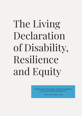# The Living Declaration of Disability, Resilience and Equity

"Of all the forms of inequality, injustice in healthcare is the most shocking and inhumane"

- Martin Luther King, Jr. - 1966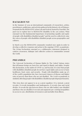#### BACKGROUND

In the Summer of 2019 an international community of researchers, artists, practitioners, politicians, and activists gathered in the historic city of Elsinore, Denmark for the REIMAGINE Action Lab and Festival, hosted by Enactlab. The goal was to explore how to REIMAGINE disability in the 21st century. What emerged was the fundamental importance of promoting equality and equity of people with disabilities/disabled people\* and the need to collectively raise the voices of people with disabilities/disabled people across geographies and cultures.

In March 2020 the REIMAGINE community reunited once again in order to develop a collective response and action to the ongoing COVID-19 pandemic. The Living Declaration emerged as a collaborative statement designed to catalyze awareness, dialogue and collective action in communities around the world.

#### PREAMBLE

The Universal Declaration of Human Rights by The United Nations states that all human beings are born free and equal in dignity and rights. Despite this declaration, in the midst of COVID-19, and beyond, it is clear that people with disabilities/disabled people do not have equal rights and access to basic healthcare, food, water, and security. People with disabilities make up  $15\%$ of the world's population but, have increased chances of disease and higher rates of poverty than those who are not disabled. The Covid-19 pandemic is similarly affecting people with disabilities/disabled people disproportionately.

This virus does not appear to us as a great equalizer. It is, instead, a great revealer. It reveals inequalities and inadequacies. It reveals class and racial divides. It reveals the gap between those who are able bodied, non-disabled and those who are disabled. It reveals and augments pre-existing inequalities in access to care, distribution of resources and mortality from illness.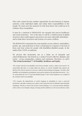This crisis cannot become another opportunity for governments to impose austerity, erode individual rights and violate their responsibilities to the people. We must seize the moment of crisis from those who would use it to reinforce these inequalities:

It must be a moment to REIMAGINE our unequal and uneven healthcare and social structures. Now is the time to call for a reinforcement of global structures that would support and protect our most vulnerable individuals – and to make these structures and systems even more resilient.

The REIMAGINE community has come together across cultures, nationalities, gender, age, and profession to form a declaration in response to the lack of focus and clear action for people with disabilities/disabled people, in the midst of the COVID-19 epidemic.

We present this declaration not as a finite set of demands and acknowledgements, but instead as a catalyst toward collective dialogue and action – across communities, cultures and continents. Therefore, we call it "The Living Declaration"\*\* of Disability, Resilience and Equity.

*\*We recognize that the term disability varies between people, societies, cultures and contexts. We acknowledge that there is no single right term, phrase, or word for disability that captures the full diversity of lived experiences and socio-cultural understandings of language. We believe that disability can be biological, psychological, and social in relation to the individual and society. "E.g.: We acknowledge the term "D/deaf and disabled people" in the United Kingdom as an example of the variation of the term disability.*

*\*\*We recognize the imperfections of written language in attempting to create a universal declaration, especially working across cultures and a broad diversity of embodied understandings of language. Thereby we attest to the need for constant dialogue, so we can transcend the challenges of the written word, through exchange, learning and the ambition to work toward collective action*

*.*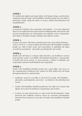We reaffirm the dignity and equal rights of all human beings, and therefore emphasize that all People with Disabilities/Disabled people have the right to participate wholly within the fabric of society without discrimination and marginalization.

#### Article 2

In moments of global crisis, quarantine and isolation – it is more important than ever to reaffirm the interconnectedness of all human life, and actively work toward strengthening our relationships and solidarity across communities and cultures, through exchange, dialogue and collective action.

#### Article 3

In times of resource allocation, manufactured crises and critical shortages – such as COVID 19 –we must reaffirm that all People with Disabilities/Disabled people are valid in their needs and expectations in upholding all rights accorded to personhood – physically, psychologically and socially.

### Article 4

Health and well-being is a human right; therefore, our healthcare systems must promote equity, accessibility and diminish disparities. Consequently, in health and across society, we must promote a culture of solidarity and cooperation, instead of individualism and competition.

### Article 5

People with Disabilities/Disabled people have equal rights and access to the comprehensive healthcare they require for their health and well-being throughout their lives, and therefore:

- Healthcare must be accessible at all levels for people with disability physically, psychologically, and social - in relation to the individual and society.
- People with disabilities/disabled people have the right to be treated with dignity and respect by healthcare organizations and workers.
- In times of crisis and beyond, we must resist all discriminatory triage protocols that withhold resources based on erroneous presumptions about the lived experience and value of People with Disabilities/Disabled people.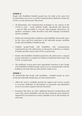People with Disabilities/Disabled people have the right to the same level of information and access to media/communications platforms during the COVID-19 crisis and beyond. This means:

- All information and communication pertaining to any aspects of the COVID-19 crisis – social, political, health, educational and otherwise – must be fully accessible to everyone (sign language interpreters, lip speakers, notetakers, audio describers and other language translations must be available).
- Media and communications platforms must highlight and provide space for the voices and lived experience of all vulnerable groups, including People with Disabilities/Disabled people.
- Disabled people/People with Disabilities with communication requirements have the right to have an interpreter at all times, in relation to health and other issues with COVID-19 and beyond.
- People with Disabilities/Disabled people have the right to have a support person assist them, as required, in relation to health and other issues with COVID-19 and beyond.
- The healthcare system must enact appropriate measures to give People with Disabilities/Disabled people equal access to communication with the healthcare provider that any other patient would receive.

#### Article 7

We acknowledge that People with Disabilities / Disabled people are more at risk and vulnerable during times of crisis and therefore:

- Affirm the need to equitably provide the support and services needed to overcome challenges of self-isolation or quarantine and diminished access to necessary support staff and structures.
- Recognize that there are often additional financial considerations that come with various disabilities and that these financial needs should be supported by governments to ensure equitable access to all essential care and needs.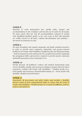Moments of crisis demonstrate how quickly policy changes and accommodations in the workplace and beyond can be made for all people. We must ensure that any and all accommodations required by people with disabilities/disabled people to live and work at their full potential are swiftly enacted at all times, without discrimination and prejudice not merely in moments of crisis.

#### Article 9

We must strengthen and expand community and family medicine practices in order to provide more responsive, humanistic and person-centered healthcare for People with Disabilities/Disabled people and all human beings – both in moments of crisis and beyond. We recognize the need for employing the pedagogical shifts and practices required to provide greater autonomy and health promotion at the community-level.

#### Article 10

Moving forward, all healthcare workers and medical professionals must receive disability equality and awareness training to prepare them for direct experience working with People with Disabilities / Disabled people (E.g.: Deaf equality and awareness; mental health training, etc – led by people with disability, disabled and deaf leaders)

#### Article 11

Henceforth, all government and policy bodies must include a disability advisory board in their organizational bodies to ensure that the needs of People with Disabilities / Disabled people are recognized in all plans, policies, projects and initiatives.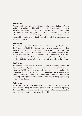We must work closely with international organizations, including the United Nations (UN) and the World Health Organization (WHO), to guarantee that the general principles of the UN Convention on the Rights of Individuals with Disabilities are effectively applied and enacted in every nation, in order to achieve universal well-being. These principles include non-discrimination; accessibility; equality of opportunity; and full and effective participation and inclusion in society.

#### Article 13

It is essential all government bodies must coordinate appropriately to ensure that People with Disabilities / Disabled people have reliable access to medical services, as well as sources of food supply. Access must involve the provision of some form of safe transport to persons with disabilities, particularly lowincome individuals living in both rural and urban communities of concern. In other cases, it will entail employing transport to provide these services and foodstuffs to persons with disabilities that cannot leave their homes.

#### Article 14

We understand that the experiences and voices of young People with disabilities/Disabled people are essential to emerging debates and collective action on disability in order to make changes relevant and meaningful for generations to come. We recognize the importance of becoming active agents of society, of obtaining an education, employment, independence and autonomy, housing and independent living, and the possibility of promoting positive social change.

#### Article 15

We recognize the dynamic and diverse nature of the lived experience of disability and actively encourage a global dialogue to continue expanding the scope of this declaration and its active implementation in communities, organizations and governments across the world.